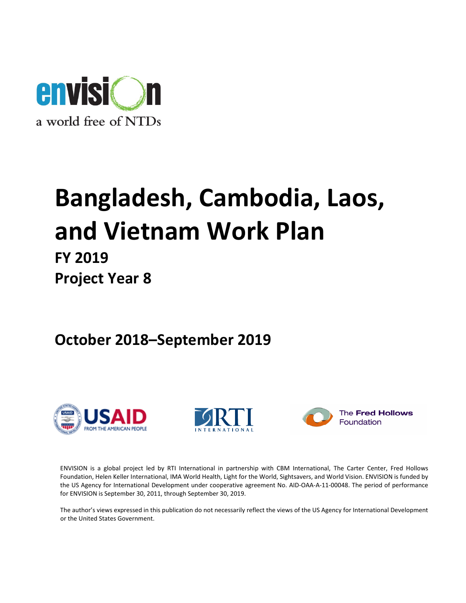

# Bangladesh, Cambodia, Laos, and Vietnam Work Plan

# FY 2019 Project Year 8

October 2018–September 2019







The Fred Hollows Foundation

ENVISION is a global project led by RTI International in partnership with CBM International, The Carter Center, Fred Hollows Foundation, Helen Keller International, IMA World Health, Light for the World, Sightsavers, and World Vision. ENVISION is funded by the US Agency for International Development under cooperative agreement No. AID-OAA-A-11-00048. The period of performance for ENVISION is September 30, 2011, through September 30, 2019.

The author's views expressed in this publication do not necessarily reflect the views of the US Agency for International Development or the United States Government.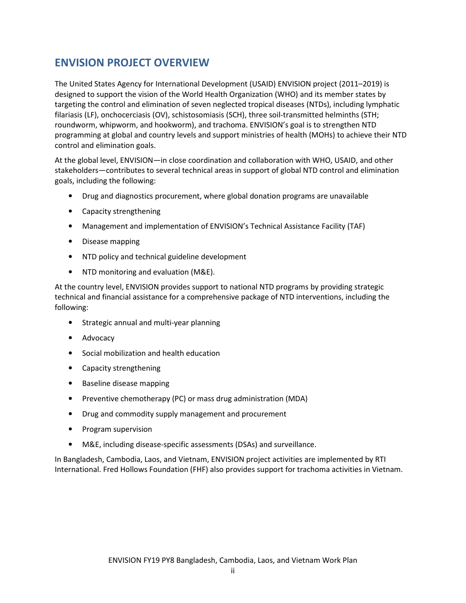# ENVISION PROJECT OVERVIEW

The United States Agency for International Development (USAID) ENVISION project (2011–2019) is designed to support the vision of the World Health Organization (WHO) and its member states by targeting the control and elimination of seven neglected tropical diseases (NTDs), including lymphatic filariasis (LF), onchocerciasis (OV), schistosomiasis (SCH), three soil-transmitted helminths (STH; roundworm, whipworm, and hookworm), and trachoma. ENVISION's goal is to strengthen NTD programming at global and country levels and support ministries of health (MOHs) to achieve their NTD control and elimination goals.

At the global level, ENVISION—in close coordination and collaboration with WHO, USAID, and other stakeholders—contributes to several technical areas in support of global NTD control and elimination goals, including the following:

- Drug and diagnostics procurement, where global donation programs are unavailable
- Capacity strengthening
- Management and implementation of ENVISION's Technical Assistance Facility (TAF)
- Disease mapping
- NTD policy and technical guideline development
- NTD monitoring and evaluation (M&E).

At the country level, ENVISION provides support to national NTD programs by providing strategic technical and financial assistance for a comprehensive package of NTD interventions, including the following:

- Strategic annual and multi-year planning
- Advocacy
- Social mobilization and health education
- Capacity strengthening
- Baseline disease mapping
- Preventive chemotherapy (PC) or mass drug administration (MDA)
- Drug and commodity supply management and procurement
- Program supervision
- M&E, including disease-specific assessments (DSAs) and surveillance.

In Bangladesh, Cambodia, Laos, and Vietnam, ENVISION project activities are implemented by RTI International. Fred Hollows Foundation (FHF) also provides support for trachoma activities in Vietnam.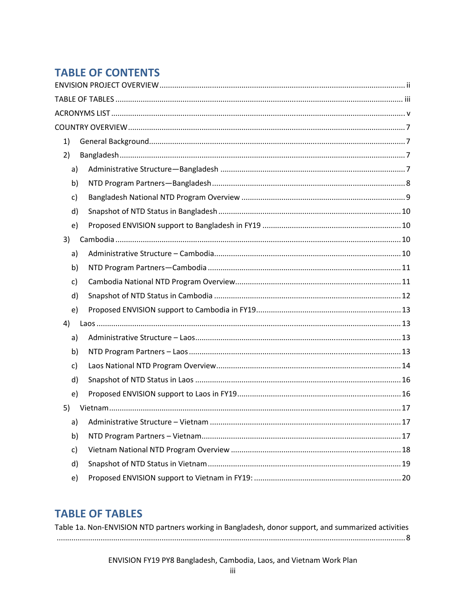# **TABLE OF CONTENTS**

| 1) |  |
|----|--|
| 2) |  |
| a) |  |
| b) |  |
| c) |  |
| d) |  |
| e) |  |
| 3) |  |
| a) |  |
| b) |  |
| c) |  |
| d) |  |
| e) |  |
| 4) |  |
| a) |  |
| b) |  |
| c) |  |
| d) |  |
| e) |  |
| 5) |  |
| a) |  |
| b) |  |
| c) |  |
| d) |  |
| e) |  |

# **TABLE OF TABLES**

| Table 1a. Non-ENVISION NTD partners working in Bangladesh, donor support, and summarized activities |  |
|-----------------------------------------------------------------------------------------------------|--|
|                                                                                                     |  |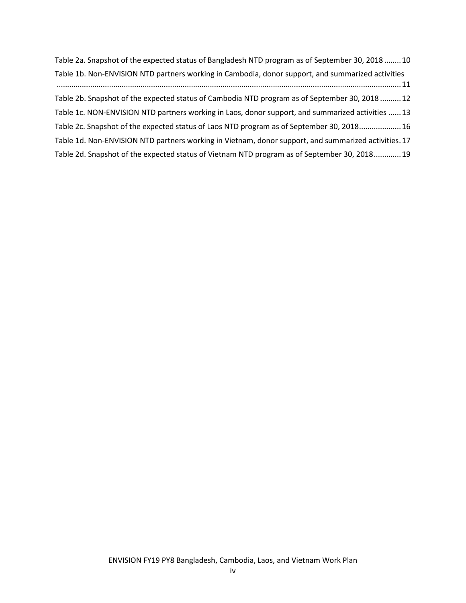Table 2a. Snapshot of the expected status of Bangladesh NTD program as of September 30, 2018 ........ 10 Table 1b. Non-ENVISION NTD partners working in Cambodia, donor support, and summarized activities .................................................................................................................................................................... 11 Table 2b. Snapshot of the expected status of Cambodia NTD program as of September 30, 2018 .......... 12 Table 1c. NON-ENVISION NTD partners working in Laos, donor support, and summarized activities ...... 13 Table 2c. Snapshot of the expected status of Laos NTD program as of September 30, 2018 .................... 16 Table 1d. Non-ENVISION NTD partners working in Vietnam, donor support, and summarized activities . 17 Table 2d. Snapshot of the expected status of Vietnam NTD program as of September 30, 2018 ............. 19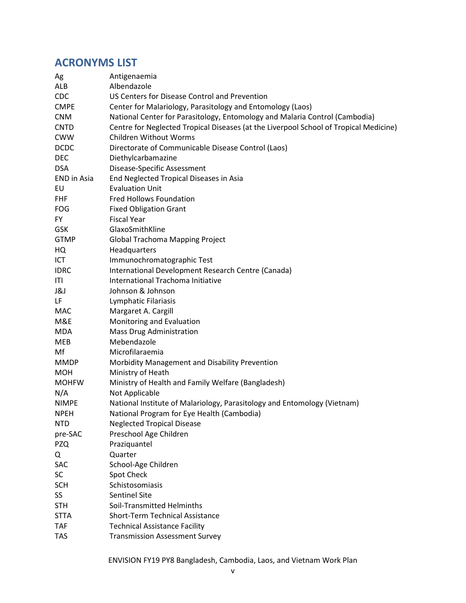# ACRONYMS LIST

| Ag                 | Antigenaemia                                                                          |
|--------------------|---------------------------------------------------------------------------------------|
| ALB                | Albendazole                                                                           |
| <b>CDC</b>         | US Centers for Disease Control and Prevention                                         |
| <b>CMPE</b>        | Center for Malariology, Parasitology and Entomology (Laos)                            |
| <b>CNM</b>         | National Center for Parasitology, Entomology and Malaria Control (Cambodia)           |
| <b>CNTD</b>        | Centre for Neglected Tropical Diseases (at the Liverpool School of Tropical Medicine) |
| <b>CWW</b>         | <b>Children Without Worms</b>                                                         |
| <b>DCDC</b>        | Directorate of Communicable Disease Control (Laos)                                    |
| <b>DEC</b>         | Diethylcarbamazine                                                                    |
| <b>DSA</b>         | Disease-Specific Assessment                                                           |
| <b>END</b> in Asia | End Neglected Tropical Diseases in Asia                                               |
| EU                 | <b>Evaluation Unit</b>                                                                |
| <b>FHF</b>         | <b>Fred Hollows Foundation</b>                                                        |
| <b>FOG</b>         | <b>Fixed Obligation Grant</b>                                                         |
| <b>FY</b>          | <b>Fiscal Year</b>                                                                    |
| <b>GSK</b>         | GlaxoSmithKline                                                                       |
| <b>GTMP</b>        | <b>Global Trachoma Mapping Project</b>                                                |
| HQ                 | Headquarters                                                                          |
| ICT                | Immunochromatographic Test                                                            |
| <b>IDRC</b>        | International Development Research Centre (Canada)                                    |
| ITI                | International Trachoma Initiative                                                     |
| 1&J                | Johnson & Johnson                                                                     |
| LF                 | Lymphatic Filariasis                                                                  |
| MAC                | Margaret A. Cargill                                                                   |
| M&E                | Monitoring and Evaluation                                                             |
| <b>MDA</b>         | <b>Mass Drug Administration</b>                                                       |
| <b>MEB</b>         | Mebendazole                                                                           |
| Mf                 | Microfilaraemia                                                                       |
| <b>MMDP</b>        | Morbidity Management and Disability Prevention                                        |
| <b>MOH</b>         | Ministry of Heath                                                                     |
| <b>MOHFW</b>       | Ministry of Health and Family Welfare (Bangladesh)                                    |
| N/A                | Not Applicable                                                                        |
| <b>NIMPE</b>       | National Institute of Malariology, Parasitology and Entomology (Vietnam)              |
| <b>NPEH</b>        | National Program for Eye Health (Cambodia)                                            |
| <b>NTD</b>         | <b>Neglected Tropical Disease</b>                                                     |
| pre-SAC            | Preschool Age Children                                                                |
| <b>PZQ</b>         | Praziquantel                                                                          |
| Q                  | Quarter                                                                               |
| SAC                | School-Age Children                                                                   |
| <b>SC</b>          | Spot Check                                                                            |
| <b>SCH</b>         | Schistosomiasis                                                                       |
| SS                 | <b>Sentinel Site</b>                                                                  |
| <b>STH</b>         | Soil-Transmitted Helminths                                                            |
| <b>STTA</b>        | <b>Short-Term Technical Assistance</b>                                                |
| <b>TAF</b>         | <b>Technical Assistance Facility</b>                                                  |
| <b>TAS</b>         | <b>Transmission Assessment Survey</b>                                                 |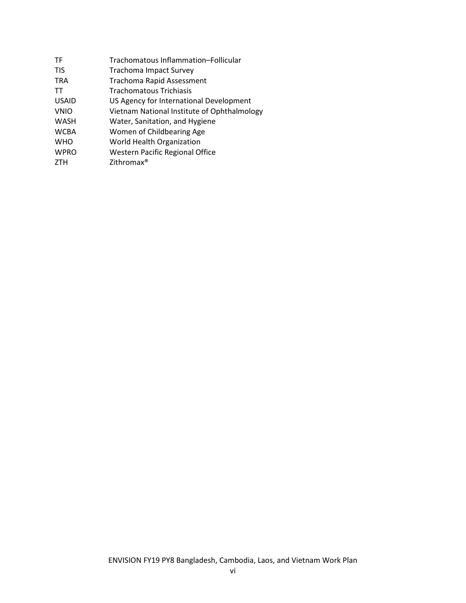| <b>TF</b>    | Trachomatous Inflammation-Follicular        |
|--------------|---------------------------------------------|
| <b>TIS</b>   | <b>Trachoma Impact Survey</b>               |
| <b>TRA</b>   | <b>Trachoma Rapid Assessment</b>            |
| <b>TT</b>    | <b>Trachomatous Trichiasis</b>              |
| <b>USAID</b> | US Agency for International Development     |
| <b>VNIO</b>  | Vietnam National Institute of Ophthalmology |
| <b>WASH</b>  | Water, Sanitation, and Hygiene              |
| <b>WCBA</b>  | Women of Childbearing Age                   |
| <b>WHO</b>   | World Health Organization                   |
| <b>WPRO</b>  | <b>Western Pacific Regional Office</b>      |
| <b>ZTH</b>   | Zithromax <sup>®</sup>                      |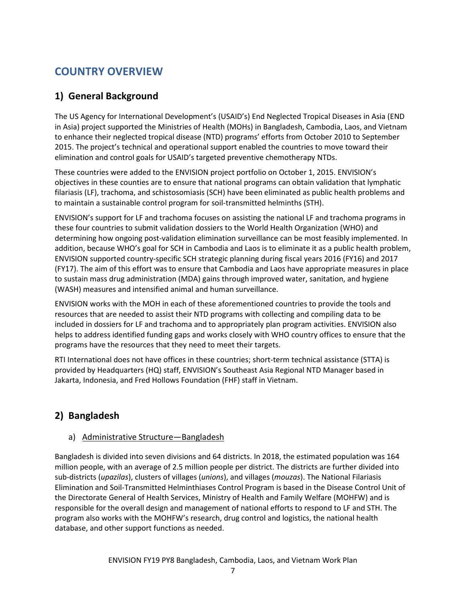# COUNTRY OVERVIEW

# 1) General Background

The US Agency for International Development's (USAID's) End Neglected Tropical Diseases in Asia (END in Asia) project supported the Ministries of Health (MOHs) in Bangladesh, Cambodia, Laos, and Vietnam to enhance their neglected tropical disease (NTD) programs' efforts from October 2010 to September 2015. The project's technical and operational support enabled the countries to move toward their elimination and control goals for USAID's targeted preventive chemotherapy NTDs.

These countries were added to the ENVISION project portfolio on October 1, 2015. ENVISION's objectives in these counties are to ensure that national programs can obtain validation that lymphatic filariasis (LF), trachoma, and schistosomiasis (SCH) have been eliminated as public health problems and to maintain a sustainable control program for soil-transmitted helminths (STH).

ENVISION's support for LF and trachoma focuses on assisting the national LF and trachoma programs in these four countries to submit validation dossiers to the World Health Organization (WHO) and determining how ongoing post-validation elimination surveillance can be most feasibly implemented. In addition, because WHO's goal for SCH in Cambodia and Laos is to eliminate it as a public health problem, ENVISION supported country-specific SCH strategic planning during fiscal years 2016 (FY16) and 2017 (FY17). The aim of this effort was to ensure that Cambodia and Laos have appropriate measures in place to sustain mass drug administration (MDA) gains through improved water, sanitation, and hygiene (WASH) measures and intensified animal and human surveillance.

ENVISION works with the MOH in each of these aforementioned countries to provide the tools and resources that are needed to assist their NTD programs with collecting and compiling data to be included in dossiers for LF and trachoma and to appropriately plan program activities. ENVISION also helps to address identified funding gaps and works closely with WHO country offices to ensure that the programs have the resources that they need to meet their targets.

RTI International does not have offices in these countries; short-term technical assistance (STTA) is provided by Headquarters (HQ) staff, ENVISION's Southeast Asia Regional NTD Manager based in Jakarta, Indonesia, and Fred Hollows Foundation (FHF) staff in Vietnam.

# 2) Bangladesh

# a) Administrative Structure—Bangladesh

Bangladesh is divided into seven divisions and 64 districts. In 2018, the estimated population was 164 million people, with an average of 2.5 million people per district. The districts are further divided into sub-districts (upazilas), clusters of villages (unions), and villages (mouzas). The National Filariasis Elimination and Soil-Transmitted Helminthiases Control Program is based in the Disease Control Unit of the Directorate General of Health Services, Ministry of Health and Family Welfare (MOHFW) and is responsible for the overall design and management of national efforts to respond to LF and STH. The program also works with the MOHFW's research, drug control and logistics, the national health database, and other support functions as needed.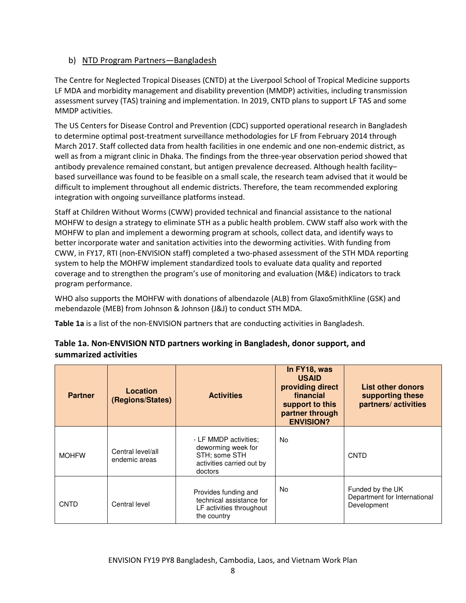# b) NTD Program Partners—Bangladesh

The Centre for Neglected Tropical Diseases (CNTD) at the Liverpool School of Tropical Medicine supports LF MDA and morbidity management and disability prevention (MMDP) activities, including transmission assessment survey (TAS) training and implementation. In 2019, CNTD plans to support LF TAS and some MMDP activities.

The US Centers for Disease Control and Prevention (CDC) supported operational research in Bangladesh to determine optimal post-treatment surveillance methodologies for LF from February 2014 through March 2017. Staff collected data from health facilities in one endemic and one non-endemic district, as well as from a migrant clinic in Dhaka. The findings from the three-year observation period showed that antibody prevalence remained constant, but antigen prevalence decreased. Although health facility– based surveillance was found to be feasible on a small scale, the research team advised that it would be difficult to implement throughout all endemic districts. Therefore, the team recommended exploring integration with ongoing surveillance platforms instead.

Staff at Children Without Worms (CWW) provided technical and financial assistance to the national MOHFW to design a strategy to eliminate STH as a public health problem. CWW staff also work with the MOHFW to plan and implement a deworming program at schools, collect data, and identify ways to better incorporate water and sanitation activities into the deworming activities. With funding from CWW, in FY17, RTI (non-ENVISION staff) completed a two-phased assessment of the STH MDA reporting system to help the MOHFW implement standardized tools to evaluate data quality and reported coverage and to strengthen the program's use of monitoring and evaluation (M&E) indicators to track program performance.

WHO also supports the MOHFW with donations of albendazole (ALB) from GlaxoSmithKline (GSK) and mebendazole (MEB) from Johnson & Johnson (J&J) to conduct STH MDA.

Table 1a is a list of the non-ENVISION partners that are conducting activities in Bangladesh.

| <b>Partner</b>               | Location<br>(Regions/States)       | <b>Activities</b>                                                                                    | In FY18, was<br><b>USAID</b><br>providing direct<br>financial<br>support to this<br>partner through<br><b>ENVISION?</b> | <b>List other donors</b><br>supporting these<br>partners/activities |
|------------------------------|------------------------------------|------------------------------------------------------------------------------------------------------|-------------------------------------------------------------------------------------------------------------------------|---------------------------------------------------------------------|
| <b>MOHFW</b>                 | Central level/all<br>endemic areas | - LF MMDP activities;<br>deworming week for<br>STH; some STH<br>activities carried out by<br>doctors | No                                                                                                                      | <b>CNTD</b>                                                         |
| Central level<br><b>CNTD</b> |                                    | Provides funding and<br>technical assistance for<br>LF activities throughout<br>the country          | No                                                                                                                      | Funded by the UK<br>Department for International<br>Development     |

# Table 1a. Non-ENVISION NTD partners working in Bangladesh, donor support, and summarized activities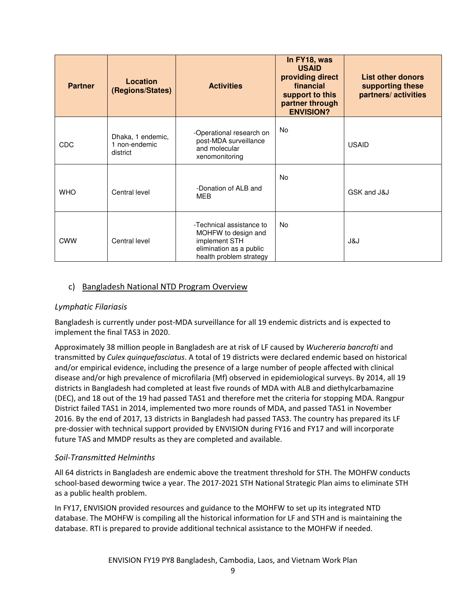| <b>Partner</b> | Location<br>(Regions/States)                   | <b>Activities</b>                                                                                                      | In FY18, was<br><b>USAID</b><br>providing direct<br>financial<br>support to this<br>partner through<br><b>ENVISION?</b> | List other donors<br>supporting these<br>partners/activities |
|----------------|------------------------------------------------|------------------------------------------------------------------------------------------------------------------------|-------------------------------------------------------------------------------------------------------------------------|--------------------------------------------------------------|
| <b>CDC</b>     | Dhaka, 1 endemic,<br>1 non-endemic<br>district | -Operational research on<br>post-MDA surveillance<br>and molecular<br>xenomonitoring                                   | No.                                                                                                                     | <b>USAID</b>                                                 |
| <b>WHO</b>     | Central level                                  | -Donation of ALB and<br>MEB                                                                                            | No                                                                                                                      | GSK and J&J                                                  |
| <b>CWW</b>     | Central level                                  | -Technical assistance to<br>MOHFW to design and<br>implement STH<br>elimination as a public<br>health problem strategy | No.                                                                                                                     | J&J                                                          |

# c) Bangladesh National NTD Program Overview

# Lymphatic Filariasis

Bangladesh is currently under post-MDA surveillance for all 19 endemic districts and is expected to implement the final TAS3 in 2020.

Approximately 38 million people in Bangladesh are at risk of LF caused by Wuchereria bancrofti and transmitted by Culex quinquefasciatus. A total of 19 districts were declared endemic based on historical and/or empirical evidence, including the presence of a large number of people affected with clinical disease and/or high prevalence of microfilaria (Mf) observed in epidemiological surveys. By 2014, all 19 districts in Bangladesh had completed at least five rounds of MDA with ALB and diethylcarbamazine (DEC), and 18 out of the 19 had passed TAS1 and therefore met the criteria for stopping MDA. Rangpur District failed TAS1 in 2014, implemented two more rounds of MDA, and passed TAS1 in November 2016. By the end of 2017, 13 districts in Bangladesh had passed TAS3. The country has prepared its LF pre-dossier with technical support provided by ENVISION during FY16 and FY17 and will incorporate future TAS and MMDP results as they are completed and available.

# Soil-Transmitted Helminths

All 64 districts in Bangladesh are endemic above the treatment threshold for STH. The MOHFW conducts school-based deworming twice a year. The 2017-2021 STH National Strategic Plan aims to eliminate STH as a public health problem.

In FY17, ENVISION provided resources and guidance to the MOHFW to set up its integrated NTD database. The MOHFW is compiling all the historical information for LF and STH and is maintaining the database. RTI is prepared to provide additional technical assistance to the MOHFW if needed.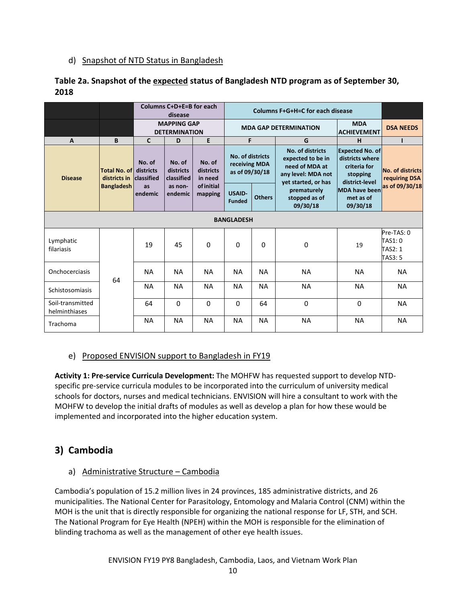# d) Snapshot of NTD Status in Bangladesh

| Table 2a. Snapshot of the expected status of Bangladesh NTD program as of September 30, |  |
|-----------------------------------------------------------------------------------------|--|
| 2018                                                                                    |  |

|                                   | Columns C+D+E=B for each<br>Columns F+G+H=C for each disease<br>disease |                                            |                                   |                                |                                                     |                                                                                                                                                                                                                                             |                                          |                                               |                                                           |
|-----------------------------------|-------------------------------------------------------------------------|--------------------------------------------|-----------------------------------|--------------------------------|-----------------------------------------------------|---------------------------------------------------------------------------------------------------------------------------------------------------------------------------------------------------------------------------------------------|------------------------------------------|-----------------------------------------------|-----------------------------------------------------------|
|                                   |                                                                         | <b>MAPPING GAP</b><br><b>DETERMINATION</b> |                                   |                                |                                                     | <b>MDA GAP DETERMINATION</b>                                                                                                                                                                                                                | <b>MDA</b><br><b>ACHIEVEMENT</b>         | <b>DSA NEEDS</b>                              |                                                           |
| $\overline{A}$                    | B                                                                       | $\mathsf{C}$                               | D                                 | E                              | F                                                   |                                                                                                                                                                                                                                             | G                                        | н                                             | т                                                         |
| <b>Disease</b>                    | Total No. of<br>districts in<br><b>Bangladesh</b>                       | No. of<br>districts<br>classified          | No. of<br>districts<br>classified | No. of<br>districts<br>in need | No. of districts<br>receiving MDA<br>as of 09/30/18 | <b>No. of districts</b><br><b>Expected No. of</b><br>districts where<br>expected to be in<br>need of MDA at<br>criteria for<br>No. of districts<br>any level: MDA not<br>stopping<br>requiring DSA<br>district-level<br>yet started, or has |                                          |                                               |                                                           |
|                                   |                                                                         | as<br>endemic                              | as non-<br>endemic                | <b>of initial</b><br>mapping   | <b>USAID-</b><br><b>Funded</b>                      | <b>Others</b>                                                                                                                                                                                                                               | prematurely<br>stopped as of<br>09/30/18 | <b>MDA have been</b><br>met as of<br>09/30/18 | as of 09/30/18                                            |
|                                   |                                                                         |                                            |                                   |                                | <b>BANGLADESH</b>                                   |                                                                                                                                                                                                                                             |                                          |                                               |                                                           |
| Lymphatic<br>filariasis           |                                                                         | 19                                         | 45                                | 0                              | 0                                                   | 0                                                                                                                                                                                                                                           | 0                                        | 19                                            | Pre-TAS: 0<br>TAS1: 0<br><b>TAS2: 1</b><br><b>TAS3: 5</b> |
| Onchocerciasis                    | 64                                                                      | <b>NA</b>                                  | <b>NA</b>                         | <b>NA</b>                      | <b>NA</b>                                           | <b>NA</b>                                                                                                                                                                                                                                   | <b>NA</b>                                | <b>NA</b>                                     | <b>NA</b>                                                 |
| Schistosomiasis                   |                                                                         | <b>NA</b>                                  | <b>NA</b>                         | <b>NA</b>                      | <b>NA</b>                                           | <b>NA</b>                                                                                                                                                                                                                                   | <b>NA</b>                                | <b>NA</b>                                     | <b>NA</b>                                                 |
| Soil-transmitted<br>helminthiases |                                                                         | 64                                         | $\Omega$                          | $\Omega$                       | $\Omega$                                            | 64                                                                                                                                                                                                                                          | $\Omega$                                 | 0                                             | <b>NA</b>                                                 |
| Trachoma                          |                                                                         | <b>NA</b>                                  | <b>NA</b>                         | <b>NA</b>                      | <b>NA</b>                                           | <b>NA</b>                                                                                                                                                                                                                                   | <b>NA</b>                                | <b>NA</b>                                     | <b>NA</b>                                                 |

# e) Proposed ENVISION support to Bangladesh in FY19

Activity 1: Pre-service Curricula Development: The MOHFW has requested support to develop NTDspecific pre-service curricula modules to be incorporated into the curriculum of university medical schools for doctors, nurses and medical technicians. ENVISION will hire a consultant to work with the MOHFW to develop the initial drafts of modules as well as develop a plan for how these would be implemented and incorporated into the higher education system.

# 3) Cambodia

# a) Administrative Structure – Cambodia

Cambodia's population of 15.2 million lives in 24 provinces, 185 administrative districts, and 26 municipalities. The National Center for Parasitology, Entomology and Malaria Control (CNM) within the MOH is the unit that is directly responsible for organizing the national response for LF, STH, and SCH. The National Program for Eye Health (NPEH) within the MOH is responsible for the elimination of blinding trachoma as well as the management of other eye health issues.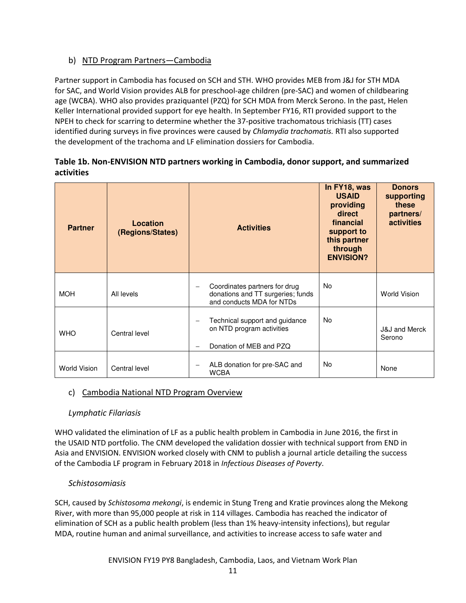# b) NTD Program Partners—Cambodia

Partner support in Cambodia has focused on SCH and STH. WHO provides MEB from J&J for STH MDA for SAC, and World Vision provides ALB for preschool-age children (pre-SAC) and women of childbearing age (WCBA). WHO also provides praziquantel (PZQ) for SCH MDA from Merck Serono. In the past, Helen Keller International provided support for eye health. In September FY16, RTI provided support to the NPEH to check for scarring to determine whether the 37-positive trachomatous trichiasis (TT) cases identified during surveys in five provinces were caused by Chlamydia trachomatis. RTI also supported the development of the trachoma and LF elimination dossiers for Cambodia.

# Table 1b. Non-ENVISION NTD partners working in Cambodia, donor support, and summarized activities

| <b>Partner</b>      | Location<br>(Regions/States) | <b>Activities</b>                                                                               | In FY18, was<br><b>USAID</b><br>providing<br>direct<br>financial<br>support to<br>this partner<br>through<br><b>ENVISION?</b> | <b>Donors</b><br>supporting<br>these<br>partners/<br>activities |
|---------------------|------------------------------|-------------------------------------------------------------------------------------------------|-------------------------------------------------------------------------------------------------------------------------------|-----------------------------------------------------------------|
| <b>MOH</b>          | All levels                   | Coordinates partners for drug<br>donations and TT surgeries; funds<br>and conducts MDA for NTDs | No.                                                                                                                           | <b>World Vision</b>                                             |
| <b>WHO</b>          | Central level                | Technical support and guidance<br>on NTD program activities<br>Donation of MEB and PZQ          | <b>No</b>                                                                                                                     | <b>J&amp;J</b> and Merck<br>Serono                              |
| <b>World Vision</b> | Central level                | ALB donation for pre-SAC and<br><b>WCBA</b>                                                     | No.                                                                                                                           | None                                                            |

# c) Cambodia National NTD Program Overview

# Lymphatic Filariasis

WHO validated the elimination of LF as a public health problem in Cambodia in June 2016, the first in the USAID NTD portfolio. The CNM developed the validation dossier with technical support from END in Asia and ENVISION. ENVISION worked closely with CNM to publish a journal article detailing the success of the Cambodia LF program in February 2018 in Infectious Diseases of Poverty.

# Schistosomiasis

SCH, caused by Schistosoma mekongi, is endemic in Stung Treng and Kratie provinces along the Mekong River, with more than 95,000 people at risk in 114 villages. Cambodia has reached the indicator of elimination of SCH as a public health problem (less than 1% heavy-intensity infections), but regular MDA, routine human and animal surveillance, and activities to increase access to safe water and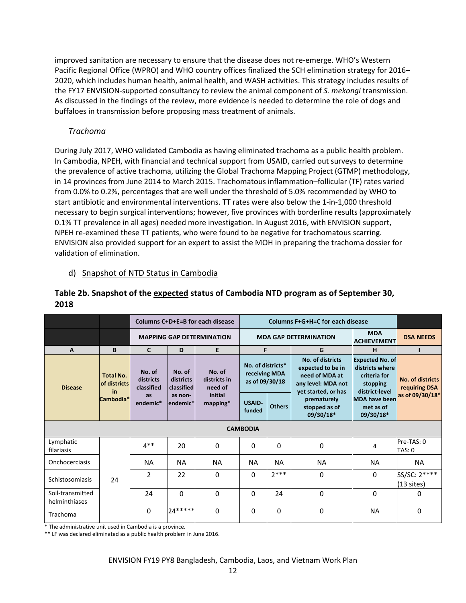improved sanitation are necessary to ensure that the disease does not re-emerge. WHO's Western Pacific Regional Office (WPRO) and WHO country offices finalized the SCH elimination strategy for 2016– 2020, which includes human health, animal health, and WASH activities. This strategy includes results of the FY17 ENVISION-supported consultancy to review the animal component of S. mekongi transmission. As discussed in the findings of the review, more evidence is needed to determine the role of dogs and buffaloes in transmission before proposing mass treatment of animals.

# Trachoma

During July 2017, WHO validated Cambodia as having eliminated trachoma as a public health problem. In Cambodia, NPEH, with financial and technical support from USAID, carried out surveys to determine the prevalence of active trachoma, utilizing the Global Trachoma Mapping Project (GTMP) methodology, in 14 provinces from June 2014 to March 2015. Trachomatous inflammation–follicular (TF) rates varied from 0.0% to 0.2%, percentages that are well under the threshold of 5.0% recommended by WHO to start antibiotic and environmental interventions. TT rates were also below the 1-in-1,000 threshold necessary to begin surgical interventions; however, five provinces with borderline results (approximately 0.1% TT prevalence in all ages) needed more investigation. In August 2016, with ENVISION support, NPEH re-examined these TT patients, who were found to be negative for trachomatous scarring. ENVISION also provided support for an expert to assist the MOH in preparing the trachoma dossier for validation of elimination.

# d) Snapshot of NTD Status in Cambodia

|                                   |                                                     |                       | Columns C+D+E=B for each disease  |                                                               |                                                                                                                                                       | Columns F+G+H=C for each disease |                                           |                                                |                                                                                         |                                   |
|-----------------------------------|-----------------------------------------------------|-----------------------|-----------------------------------|---------------------------------------------------------------|-------------------------------------------------------------------------------------------------------------------------------------------------------|----------------------------------|-------------------------------------------|------------------------------------------------|-----------------------------------------------------------------------------------------|-----------------------------------|
|                                   |                                                     |                       | <b>MAPPING GAP DETERMINATION</b>  |                                                               |                                                                                                                                                       | <b>MDA GAP DETERMINATION</b>     |                                           | <b>MDA</b><br><b>ACHIEVEMENT</b>               | <b>DSA NEEDS</b>                                                                        |                                   |
| $\mathbf{A}$                      | B                                                   | $\mathbf{C}$          | D                                 | E.                                                            | F.                                                                                                                                                    |                                  | G                                         | н                                              |                                                                                         |                                   |
| <b>Disease</b>                    | <b>Total No.</b><br>of districts<br>in<br>Cambodia* |                       | No. of<br>districts<br>classified | No. of<br>No. of<br>districts<br><b>classified</b><br>need of | No. of districts<br>No. of districts*<br>expected to be in<br>receiving MDA<br>need of MDA at<br>districts in<br>as of 09/30/18<br>any level: MDA not |                                  |                                           | yet started, or has                            | <b>Expected No. of</b><br>districts where<br>criteria for<br>stopping<br>district-level | No. of districts<br>requiring DSA |
|                                   |                                                     | <b>as</b><br>endemic* | as non-<br>lendemic*              | initial<br>$mapping*$                                         | <b>USAID-</b><br>funded                                                                                                                               | <b>Others</b>                    | prematurely<br>stopped as of<br>09/30/18* | <b>MDA have been</b><br>met as of<br>09/30/18* | as of 09/30/18*                                                                         |                                   |
|                                   |                                                     |                       |                                   |                                                               | <b>CAMBODIA</b>                                                                                                                                       |                                  |                                           |                                                |                                                                                         |                                   |
| Lymphatic<br>filariasis           |                                                     | $4**$                 | 20                                | 0                                                             | 0                                                                                                                                                     | 0                                | $\mathbf 0$                               | 4                                              | Pre-TAS: 0<br>TAS: 0                                                                    |                                   |
| Onchocerciasis                    |                                                     | <b>NA</b>             | <b>NA</b>                         | <b>NA</b>                                                     | <b>NA</b>                                                                                                                                             | <b>NA</b>                        | <b>NA</b>                                 | <b>NA</b>                                      | <b>NA</b>                                                                               |                                   |
| Schistosomiasis                   | 24                                                  | $\overline{2}$        | 22                                | $\Omega$                                                      | 0                                                                                                                                                     | $7***$                           | 0                                         | $\Omega$                                       | SS/SC: 2****<br>$(13 \text{ sites})$                                                    |                                   |
| Soil-transmitted<br>helminthiases |                                                     | 24                    | $\Omega$                          | $\Omega$                                                      | 0                                                                                                                                                     | 24                               | $\Omega$                                  | 0                                              | $\Omega$                                                                                |                                   |
| Trachoma                          |                                                     | $\Omega$              | $24*****$                         | $\Omega$                                                      | 0                                                                                                                                                     | $\Omega$                         | 0                                         | <b>NA</b>                                      | $\Omega$                                                                                |                                   |

# Table 2b. Snapshot of the expected status of Cambodia NTD program as of September 30, 2018

\* The administrative unit used in Cambodia is a province.

\*\* LF was declared eliminated as a public health problem in June 2016.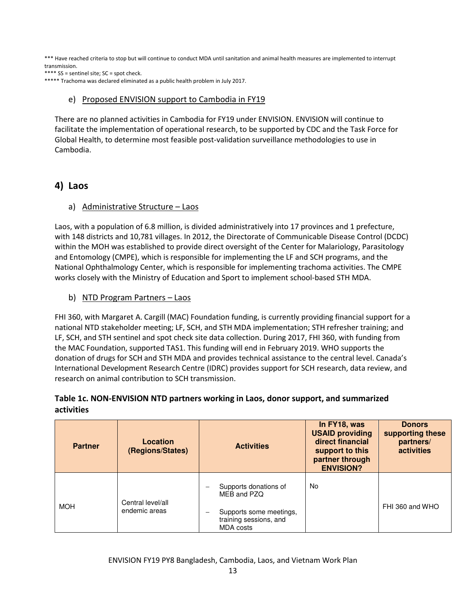\*\*\* Have reached criteria to stop but will continue to conduct MDA until sanitation and animal health measures are implemented to interrupt transmission.

\*\*\*\* SS = sentinel site; SC = spot check.

\*\*\*\*\* Trachoma was declared eliminated as a public health problem in July 2017.

#### e) Proposed ENVISION support to Cambodia in FY19

There are no planned activities in Cambodia for FY19 under ENVISION. ENVISION will continue to facilitate the implementation of operational research, to be supported by CDC and the Task Force for Global Health, to determine most feasible post-validation surveillance methodologies to use in Cambodia.

# 4) Laos

#### a) Administrative Structure – Laos

Laos, with a population of 6.8 million, is divided administratively into 17 provinces and 1 prefecture, with 148 districts and 10,781 villages. In 2012, the Directorate of Communicable Disease Control (DCDC) within the MOH was established to provide direct oversight of the Center for Malariology, Parasitology and Entomology (CMPE), which is responsible for implementing the LF and SCH programs, and the National Ophthalmology Center, which is responsible for implementing trachoma activities. The CMPE works closely with the Ministry of Education and Sport to implement school-based STH MDA.

b) NTD Program Partners - Laos

FHI 360, with Margaret A. Cargill (MAC) Foundation funding, is currently providing financial support for a national NTD stakeholder meeting; LF, SCH, and STH MDA implementation; STH refresher training; and LF, SCH, and STH sentinel and spot check site data collection. During 2017, FHI 360, with funding from the MAC Foundation, supported TAS1. This funding will end in February 2019. WHO supports the donation of drugs for SCH and STH MDA and provides technical assistance to the central level. Canada's International Development Research Centre (IDRC) provides support for SCH research, data review, and research on animal contribution to SCH transmission.

# Table 1c. NON-ENVISION NTD partners working in Laos, donor support, and summarized activities

| <b>Partner</b> | Location<br>(Regions/States)       | <b>Activities</b>                                                                                      | In FY18, was<br><b>USAID providing</b><br>direct financial<br>support to this<br>partner through<br><b>ENVISION?</b> | <b>Donors</b><br>supporting these<br>partners/<br><b>activities</b> |
|----------------|------------------------------------|--------------------------------------------------------------------------------------------------------|----------------------------------------------------------------------------------------------------------------------|---------------------------------------------------------------------|
| <b>MOH</b>     | Central level/all<br>endemic areas | Supports donations of<br>MEB and PZQ<br>Supports some meetings,<br>training sessions, and<br>MDA costs | No.                                                                                                                  | FHI 360 and WHO                                                     |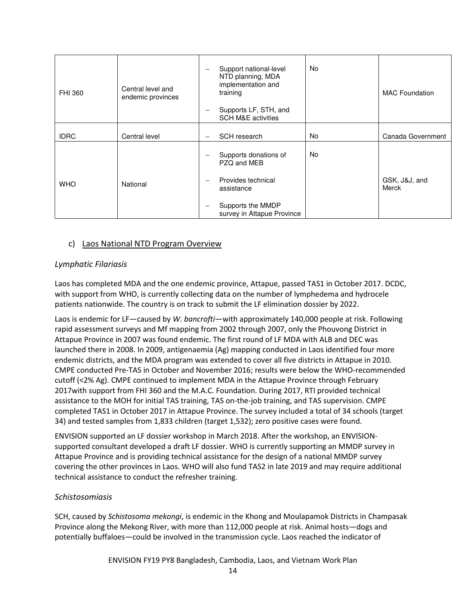| FHI 360     | Central level and<br>endemic provinces | Support national-level<br>$\overline{\phantom{m}}$<br>NTD planning, MDA<br>implementation and<br>training<br>Supports LF, STH, and<br><b>SCH M&amp;E activities</b> | <b>No</b> | <b>MAC</b> Foundation  |
|-------------|----------------------------------------|---------------------------------------------------------------------------------------------------------------------------------------------------------------------|-----------|------------------------|
| <b>IDRC</b> | Central level                          | SCH research                                                                                                                                                        | <b>No</b> | Canada Government      |
|             |                                        | Supports donations of<br>PZQ and MEB                                                                                                                                | <b>No</b> |                        |
| <b>WHO</b>  | National                               | Provides technical<br>$\overline{\phantom{m}}$<br>assistance                                                                                                        |           | GSK, J&J, and<br>Merck |
|             |                                        | Supports the MMDP<br>$\overline{\phantom{m}}$<br>survey in Attapue Province                                                                                         |           |                        |

# c) Laos National NTD Program Overview

#### Lymphatic Filariasis

Laos has completed MDA and the one endemic province, Attapue, passed TAS1 in October 2017. DCDC, with support from WHO, is currently collecting data on the number of lymphedema and hydrocele patients nationwide. The country is on track to submit the LF elimination dossier by 2022.

Laos is endemic for LF—caused by W. bancrofti—with approximately 140,000 people at risk. Following rapid assessment surveys and Mf mapping from 2002 through 2007, only the Phouvong District in Attapue Province in 2007 was found endemic. The first round of LF MDA with ALB and DEC was launched there in 2008. In 2009, antigenaemia (Ag) mapping conducted in Laos identified four more endemic districts, and the MDA program was extended to cover all five districts in Attapue in 2010. CMPE conducted Pre-TAS in October and November 2016; results were below the WHO-recommended cutoff (<2% Ag). CMPE continued to implement MDA in the Attapue Province through February 2017with support from FHI 360 and the M.A.C. Foundation. During 2017, RTI provided technical assistance to the MOH for initial TAS training, TAS on-the-job training, and TAS supervision. CMPE completed TAS1 in October 2017 in Attapue Province. The survey included a total of 34 schools (target 34) and tested samples from 1,833 children (target 1,532); zero positive cases were found.

ENVISION supported an LF dossier workshop in March 2018. After the workshop, an ENVISIONsupported consultant developed a draft LF dossier. WHO is currently supporting an MMDP survey in Attapue Province and is providing technical assistance for the design of a national MMDP survey covering the other provinces in Laos. WHO will also fund TAS2 in late 2019 and may require additional technical assistance to conduct the refresher training.

#### Schistosomiasis

SCH, caused by Schistosoma mekongi, is endemic in the Khong and Moulapamok Districts in Champasak Province along the Mekong River, with more than 112,000 people at risk. Animal hosts—dogs and potentially buffaloes—could be involved in the transmission cycle. Laos reached the indicator of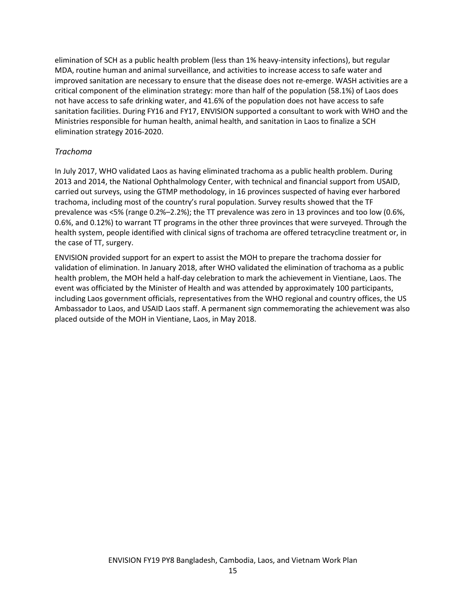elimination of SCH as a public health problem (less than 1% heavy-intensity infections), but regular MDA, routine human and animal surveillance, and activities to increase access to safe water and improved sanitation are necessary to ensure that the disease does not re-emerge. WASH activities are a critical component of the elimination strategy: more than half of the population (58.1%) of Laos does not have access to safe drinking water, and 41.6% of the population does not have access to safe sanitation facilities. During FY16 and FY17, ENVISION supported a consultant to work with WHO and the Ministries responsible for human health, animal health, and sanitation in Laos to finalize a SCH elimination strategy 2016-2020.

#### Trachoma

In July 2017, WHO validated Laos as having eliminated trachoma as a public health problem. During 2013 and 2014, the National Ophthalmology Center, with technical and financial support from USAID, carried out surveys, using the GTMP methodology, in 16 provinces suspected of having ever harbored trachoma, including most of the country's rural population. Survey results showed that the TF prevalence was <5% (range 0.2%–2.2%); the TT prevalence was zero in 13 provinces and too low (0.6%, 0.6%, and 0.12%) to warrant TT programs in the other three provinces that were surveyed. Through the health system, people identified with clinical signs of trachoma are offered tetracycline treatment or, in the case of TT, surgery.

ENVISION provided support for an expert to assist the MOH to prepare the trachoma dossier for validation of elimination. In January 2018, after WHO validated the elimination of trachoma as a public health problem, the MOH held a half-day celebration to mark the achievement in Vientiane, Laos. The event was officiated by the Minister of Health and was attended by approximately 100 participants, including Laos government officials, representatives from the WHO regional and country offices, the US Ambassador to Laos, and USAID Laos staff. A permanent sign commemorating the achievement was also placed outside of the MOH in Vientiane, Laos, in May 2018.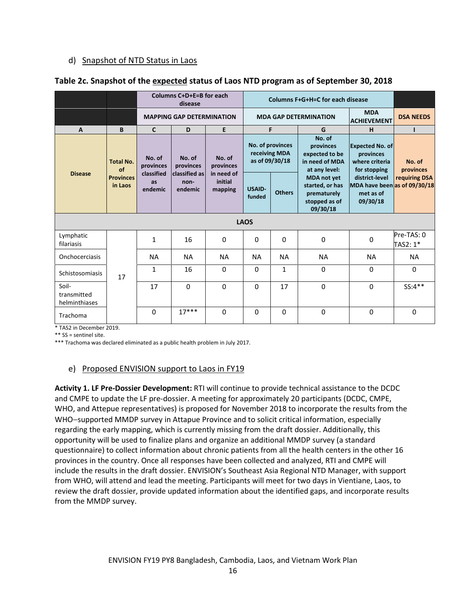# d) Snapshot of NTD Status in Laos

|                                       |                                                |                             | Columns C+D+E=B for each<br>disease                            |                                                         | Columns F+G+H=C for each disease                    |               |                                                                                   |                                                                         |                        |
|---------------------------------------|------------------------------------------------|-----------------------------|----------------------------------------------------------------|---------------------------------------------------------|-----------------------------------------------------|---------------|-----------------------------------------------------------------------------------|-------------------------------------------------------------------------|------------------------|
|                                       |                                                |                             | <b>MAPPING GAP DETERMINATION</b>                               |                                                         |                                                     |               | <b>MDA</b><br><b>MDA GAP DETERMINATION</b><br><b>ACHIEVEMENT</b>                  |                                                                         | <b>DSA NEEDS</b>       |
| A                                     | B                                              | $\mathbf{C}$                | D                                                              | E                                                       |                                                     | F             | G                                                                                 | н                                                                       |                        |
|                                       | Total No.<br>of<br><b>Provinces</b><br>in Laos | No. of<br>provinces         | No. of<br>provinces<br><b>classified as</b><br>non-<br>endemic | No. of<br>provinces<br>in need of<br>initial<br>mapping | No. of provinces<br>receiving MDA<br>as of 09/30/18 |               | No. of<br>provinces<br>expected to be<br>in need of MDA<br>at any level:          | <b>Expected No. of</b><br>provinces<br>where criteria<br>for stopping   | No. of<br>provinces    |
| <b>Disease</b>                        |                                                | classified<br>as<br>endemic |                                                                |                                                         | <b>USAID-</b><br>funded                             | <b>Others</b> | <b>MDA</b> not yet<br>started, or has<br>prematurely<br>stopped as of<br>09/30/18 | district-level<br>MDA have been as of 09/30/18<br>met as of<br>09/30/18 | requiring DSA          |
|                                       |                                                |                             |                                                                |                                                         | <b>LAOS</b>                                         |               |                                                                                   |                                                                         |                        |
| Lymphatic<br>filariasis               |                                                | $\mathbf{1}$                | 16                                                             | $\mathbf 0$                                             | 0                                                   | $\Omega$      | $\Omega$                                                                          | $\mathbf 0$                                                             | Pre-TAS: 0<br>TAS2: 1* |
| Onchocerciasis                        |                                                | <b>NA</b>                   | <b>NA</b>                                                      | <b>NA</b>                                               | <b>NA</b>                                           | <b>NA</b>     | <b>NA</b>                                                                         | <b>NA</b>                                                               | <b>NA</b>              |
| Schistosomiasis                       | 17                                             | $\mathbf{1}$                | 16                                                             | $\Omega$                                                | 0                                                   | $\mathbf{1}$  | $\Omega$                                                                          | $\Omega$                                                                | $\Omega$               |
| Soil-<br>transmitted<br>helminthiases |                                                | 17                          | $\Omega$                                                       | $\Omega$                                                | $\Omega$                                            | 17            | $\Omega$                                                                          | $\Omega$                                                                | SS:4**                 |
| Trachoma                              |                                                | $\Omega$                    | $17***$                                                        | $\Omega$                                                | $\mathbf{0}$                                        | $\Omega$      | $\Omega$                                                                          | $\Omega$                                                                | $\Omega$               |

#### Table 2c. Snapshot of the expected status of Laos NTD program as of September 30, 2018

\* TAS2 in December 2019.

\*\* SS = sentinel site.

\*\*\* Trachoma was declared eliminated as a public health problem in July 2017.

# e) Proposed ENVISION support to Laos in FY19

Activity 1. LF Pre-Dossier Development: RTI will continue to provide technical assistance to the DCDC and CMPE to update the LF pre-dossier. A meeting for approximately 20 participants (DCDC, CMPE, WHO, and Attepue representatives) is proposed for November 2018 to incorporate the results from the WHO−supported MMDP survey in Attapue Province and to solicit critical information, especially regarding the early mapping, which is currently missing from the draft dossier. Additionally, this opportunity will be used to finalize plans and organize an additional MMDP survey (a standard questionnaire) to collect information about chronic patients from all the health centers in the other 16 provinces in the country. Once all responses have been collected and analyzed, RTI and CMPE will include the results in the draft dossier. ENVISION's Southeast Asia Regional NTD Manager, with support from WHO, will attend and lead the meeting. Participants will meet for two days in Vientiane, Laos, to review the draft dossier, provide updated information about the identified gaps, and incorporate results from the MMDP survey.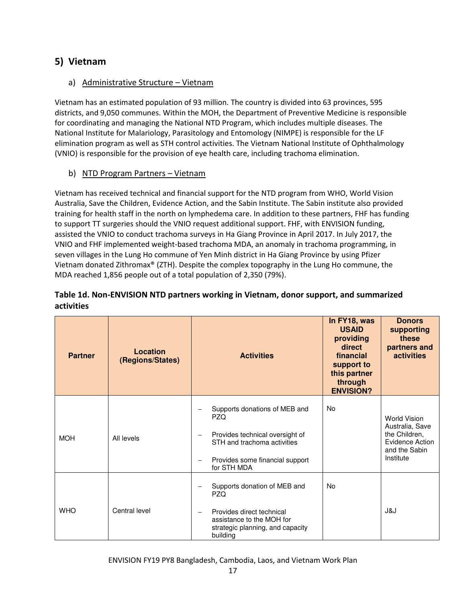# 5) Vietnam

# a) Administrative Structure – Vietnam

Vietnam has an estimated population of 93 million. The country is divided into 63 provinces, 595 districts, and 9,050 communes. Within the MOH, the Department of Preventive Medicine is responsible for coordinating and managing the National NTD Program, which includes multiple diseases. The National Institute for Malariology, Parasitology and Entomology (NIMPE) is responsible for the LF elimination program as well as STH control activities. The Vietnam National Institute of Ophthalmology (VNIO) is responsible for the provision of eye health care, including trachoma elimination.

# b) NTD Program Partners – Vietnam

Vietnam has received technical and financial support for the NTD program from WHO, World Vision Australia, Save the Children, Evidence Action, and the Sabin Institute. The Sabin institute also provided training for health staff in the north on lymphedema care. In addition to these partners, FHF has funding to support TT surgeries should the VNIO request additional support. FHF, with ENVISION funding, assisted the VNIO to conduct trachoma surveys in Ha Giang Province in April 2017. In July 2017, the VNIO and FHF implemented weight-based trachoma MDA, an anomaly in trachoma programming, in seven villages in the Lung Ho commune of Yen Minh district in Ha Giang Province by using Pfizer Vietnam donated Zithromax® (ZTH). Despite the complex topography in the Lung Ho commune, the MDA reached 1,856 people out of a total population of 2,350 (79%).

# Table 1d. Non-ENVISION NTD partners working in Vietnam, donor support, and summarized activities

| <b>Partner</b> | Location<br>(Regions/States) | <b>Activities</b>                                                                                                                                                                | In FY18, was<br><b>USAID</b><br>providing<br>direct<br>financial<br>support to<br>this partner<br>through<br><b>ENVISION?</b> | <b>Donors</b><br>supporting<br>these<br>partners and<br><b>activities</b>                                       |
|----------------|------------------------------|----------------------------------------------------------------------------------------------------------------------------------------------------------------------------------|-------------------------------------------------------------------------------------------------------------------------------|-----------------------------------------------------------------------------------------------------------------|
| <b>MOH</b>     | All levels                   | Supports donations of MEB and<br><b>PZQ</b><br>Provides technical oversight of<br>STH and trachoma activities<br>Provides some financial support<br>for STH MDA                  | No                                                                                                                            | <b>World Vision</b><br>Australia, Save<br>the Children,<br><b>Evidence Action</b><br>and the Sabin<br>Institute |
| <b>WHO</b>     | Central level                | Supports donation of MEB and<br><b>PZQ</b><br>Provides direct technical<br>$\overline{\phantom{m}}$<br>assistance to the MOH for<br>strategic planning, and capacity<br>building | <b>No</b>                                                                                                                     | J&J                                                                                                             |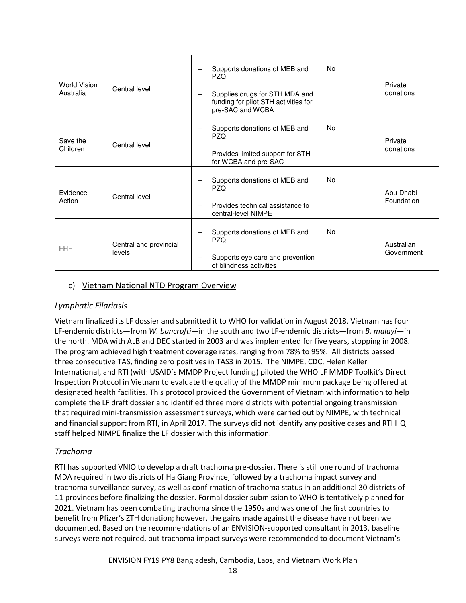| World Vision<br>Australia | Central level                    | No.<br>Supports donations of MEB and<br>PZQ.<br>Supplies drugs for STH MDA and<br>funding for pilot STH activities for<br>pre-SAC and WCBA | Private<br>donations     |
|---------------------------|----------------------------------|--------------------------------------------------------------------------------------------------------------------------------------------|--------------------------|
| Save the<br>Children      | Central level                    | <b>No</b><br>Supports donations of MEB and<br><b>PZQ</b><br>Provides limited support for STH<br>for WCBA and pre-SAC                       | Private<br>donations     |
| Evidence<br>Action        | Central level                    | <b>No</b><br>Supports donations of MEB and<br>PZQ.<br>Provides technical assistance to<br>central-level NIMPE                              | Abu Dhabi<br>Foundation  |
| <b>FHF</b>                | Central and provincial<br>levels | No<br>Supports donations of MEB and<br><b>PZQ</b><br>Supports eye care and prevention<br>of blindness activities                           | Australian<br>Government |

# c) Vietnam National NTD Program Overview

# Lymphatic Filariasis

Vietnam finalized its LF dossier and submitted it to WHO for validation in August 2018. Vietnam has four LF-endemic districts—from W. bancrofti—in the south and two LF-endemic districts—from B. malayi—in the north. MDA with ALB and DEC started in 2003 and was implemented for five years, stopping in 2008. The program achieved high treatment coverage rates, ranging from 78% to 95%. All districts passed three consecutive TAS, finding zero positives in TAS3 in 2015. The NIMPE, CDC, Helen Keller International, and RTI (with USAID's MMDP Project funding) piloted the WHO LF MMDP Toolkit's Direct Inspection Protocol in Vietnam to evaluate the quality of the MMDP minimum package being offered at designated health facilities. This protocol provided the Government of Vietnam with information to help complete the LF draft dossier and identified three more districts with potential ongoing transmission that required mini-transmission assessment surveys, which were carried out by NIMPE, with technical and financial support from RTI, in April 2017. The surveys did not identify any positive cases and RTI HQ staff helped NIMPE finalize the LF dossier with this information.

#### Trachoma

RTI has supported VNIO to develop a draft trachoma pre-dossier. There is still one round of trachoma MDA required in two districts of Ha Giang Province, followed by a trachoma impact survey and trachoma surveillance survey, as well as confirmation of trachoma status in an additional 30 districts of 11 provinces before finalizing the dossier. Formal dossier submission to WHO is tentatively planned for 2021. Vietnam has been combating trachoma since the 1950s and was one of the first countries to benefit from Pfizer's ZTH donation; however, the gains made against the disease have not been well documented. Based on the recommendations of an ENVISION-supported consultant in 2013, baseline surveys were not required, but trachoma impact surveys were recommended to document Vietnam's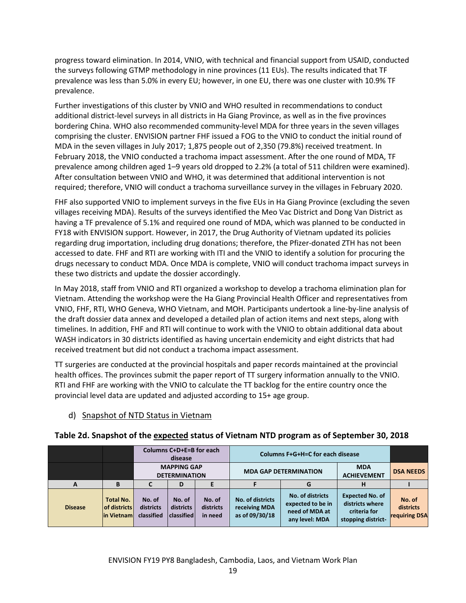progress toward elimination. In 2014, VNIO, with technical and financial support from USAID, conducted the surveys following GTMP methodology in nine provinces (11 EUs). The results indicated that TF prevalence was less than 5.0% in every EU; however, in one EU, there was one cluster with 10.9% TF prevalence.

Further investigations of this cluster by VNIO and WHO resulted in recommendations to conduct additional district-level surveys in all districts in Ha Giang Province, as well as in the five provinces bordering China. WHO also recommended community-level MDA for three years in the seven villages comprising the cluster. ENVISION partner FHF issued a FOG to the VNIO to conduct the initial round of MDA in the seven villages in July 2017; 1,875 people out of 2,350 (79.8%) received treatment. In February 2018, the VNIO conducted a trachoma impact assessment. After the one round of MDA, TF prevalence among children aged 1–9 years old dropped to 2.2% (a total of 511 children were examined). After consultation between VNIO and WHO, it was determined that additional intervention is not required; therefore, VNIO will conduct a trachoma surveillance survey in the villages in February 2020.

FHF also supported VNIO to implement surveys in the five EUs in Ha Giang Province (excluding the seven villages receiving MDA). Results of the surveys identified the Meo Vac District and Dong Van District as having a TF prevalence of 5.1% and required one round of MDA, which was planned to be conducted in FY18 with ENVISION support. However, in 2017, the Drug Authority of Vietnam updated its policies regarding drug importation, including drug donations; therefore, the Pfizer-donated ZTH has not been accessed to date. FHF and RTI are working with ITI and the VNIO to identify a solution for procuring the drugs necessary to conduct MDA. Once MDA is complete, VNIO will conduct trachoma impact surveys in these two districts and update the dossier accordingly.

In May 2018, staff from VNIO and RTI organized a workshop to develop a trachoma elimination plan for Vietnam. Attending the workshop were the Ha Giang Provincial Health Officer and representatives from VNIO, FHF, RTI, WHO Geneva, WHO Vietnam, and MOH. Participants undertook a line-by-line analysis of the draft dossier data annex and developed a detailed plan of action items and next steps, along with timelines. In addition, FHF and RTI will continue to work with the VNIO to obtain additional data about WASH indicators in 30 districts identified as having uncertain endemicity and eight districts that had received treatment but did not conduct a trachoma impact assessment.

TT surgeries are conducted at the provincial hospitals and paper records maintained at the provincial health offices. The provinces submit the paper report of TT surgery information annually to the VNIO. RTI and FHF are working with the VNIO to calculate the TT backlog for the entire country once the provincial level data are updated and adjusted according to 15+ age group.

# d) Snapshot of NTD Status in Vietnam

|                |                                                  | Columns C+D+E=B for each<br>disease |                                            |                                | <b>Columns F+G+H=C for each disease</b>             |                                                                           |                                                                                 |                                             |
|----------------|--------------------------------------------------|-------------------------------------|--------------------------------------------|--------------------------------|-----------------------------------------------------|---------------------------------------------------------------------------|---------------------------------------------------------------------------------|---------------------------------------------|
|                |                                                  |                                     | <b>MAPPING GAP</b><br><b>DETERMINATION</b> |                                |                                                     | <b>MDA GAP DETERMINATION</b>                                              | <b>MDA</b><br><b>ACHIEVEMENT</b>                                                | <b>DSA NEEDS</b>                            |
| A              | B                                                |                                     | D                                          |                                |                                                     |                                                                           | н                                                                               |                                             |
| <b>Disease</b> | <b>Total No.</b><br>of districts<br>lin Vietnaml | No. of<br>districts<br>classified   | No. of<br>districts<br><b>classified</b>   | No. of<br>districts<br>in need | No. of districts<br>receiving MDA<br>as of 09/30/18 | No. of districts<br>expected to be in<br>need of MDA at<br>any level: MDA | <b>Expected No. of</b><br>districts where<br>criteria for<br>stopping district- | No. of<br>districts<br><b>requiring DSA</b> |

# Table 2d. Snapshot of the expected status of Vietnam NTD program as of September 30, 2018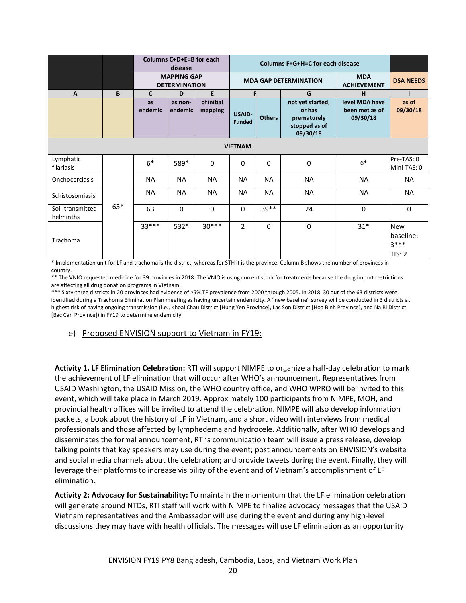|                               |       | Columns C+D+E=B for each<br>disease        |           |           | Columns F+G+H=C for each disease |               |                                                    |                                  |                                                    |
|-------------------------------|-------|--------------------------------------------|-----------|-----------|----------------------------------|---------------|----------------------------------------------------|----------------------------------|----------------------------------------------------|
|                               |       | <b>MAPPING GAP</b><br><b>DETERMINATION</b> |           |           | <b>MDA GAP DETERMINATION</b>     |               |                                                    | <b>MDA</b><br><b>ACHIEVEMENT</b> | <b>DSA NEEDS</b>                                   |
| $\overline{A}$                | B     | $\mathsf{C}$                               | D         | E         | F                                |               | G                                                  | н                                |                                                    |
|                               |       | as                                         | as non-   | ofinitial |                                  |               | not yet started,                                   | level MDA have                   | as of                                              |
|                               |       | endemic                                    | endemic   | mapping   | <b>USAID-</b><br><b>Funded</b>   | <b>Others</b> | or has<br>prematurely<br>stopped as of<br>09/30/18 | been met as of<br>09/30/18       | 09/30/18                                           |
| <b>VIETNAM</b>                |       |                                            |           |           |                                  |               |                                                    |                                  |                                                    |
| Lymphatic<br>filariasis       |       | $6*$                                       | 589*      | 0         | $\mathbf 0$                      | $\Omega$      | 0                                                  | $6*$                             | Pre-TAS: 0<br>Mini-TAS: 0                          |
| Onchocerciasis                |       | <b>NA</b>                                  | <b>NA</b> | <b>NA</b> | <b>NA</b>                        | <b>NA</b>     | NA                                                 | <b>NA</b>                        | <b>NA</b>                                          |
| Schistosomiasis               |       | <b>NA</b>                                  | <b>NA</b> | <b>NA</b> | <b>NA</b>                        | <b>NA</b>     | <b>NA</b>                                          | <b>NA</b>                        | <b>NA</b>                                          |
| Soil-transmitted<br>helminths | $63*$ | 63                                         | $\Omega$  | $\Omega$  | $\Omega$                         | 39**          | 24                                                 | $\Omega$                         | $\Omega$                                           |
| Trachoma                      |       | $33***$                                    | 532*      | $30***$   | 2                                | $\Omega$      | 0                                                  | $31*$                            | <b>New</b><br>baseline:<br>$3***$<br><b>TIS: 2</b> |

\* Implementation unit for LF and trachoma is the district, whereas for STH it is the province. Column B shows the number of provinces in country.

\*\* The VNIO requested medicine for 39 provinces in 2018. The VNIO is using current stock for treatments because the drug import restrictions are affecting all drug donation programs in Vietnam.

\*\*\* Sixty-three districts in 20 provinces had evidence of ≥5% TF prevalence from 2000 through 2005. In 2018, 30 out of the 63 districts were identified during a Trachoma Elimination Plan meeting as having uncertain endemicity. A "new baseline" survey will be conducted in 3 districts at highest risk of having ongoing transmission (i.e., Khoai Chau District [Hung Yen Province], Lac Son District [Hoa Binh Province], and Na Ri District [Bac Can Province]) in FY19 to determine endemicity.

#### e) Proposed ENVISION support to Vietnam in FY19:

Activity 1. LF Elimination Celebration: RTI will support NIMPE to organize a half-day celebration to mark the achievement of LF elimination that will occur after WHO's announcement. Representatives from USAID Washington, the USAID Mission, the WHO country office, and WHO WPRO will be invited to this event, which will take place in March 2019. Approximately 100 participants from NIMPE, MOH, and provincial health offices will be invited to attend the celebration. NIMPE will also develop information packets, a book about the history of LF in Vietnam, and a short video with interviews from medical professionals and those affected by lymphedema and hydrocele. Additionally, after WHO develops and disseminates the formal announcement, RTI's communication team will issue a press release, develop talking points that key speakers may use during the event; post announcements on ENVISION's website and social media channels about the celebration; and provide tweets during the event. Finally, they will leverage their platforms to increase visibility of the event and of Vietnam's accomplishment of LF elimination.

Activity 2: Advocacy for Sustainability: To maintain the momentum that the LF elimination celebration will generate around NTDs, RTI staff will work with NIMPE to finalize advocacy messages that the USAID Vietnam representatives and the Ambassador will use during the event and during any high-level discussions they may have with health officials. The messages will use LF elimination as an opportunity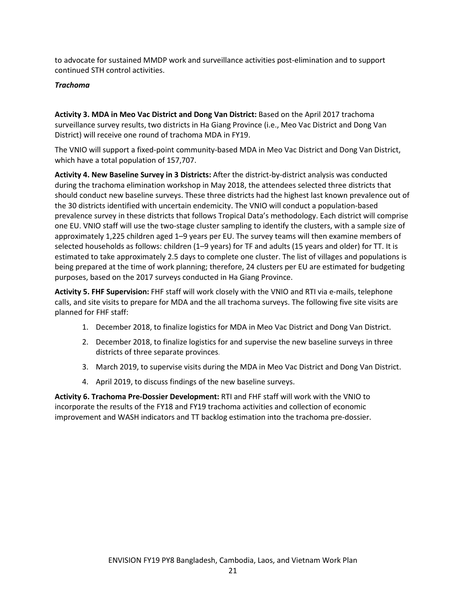to advocate for sustained MMDP work and surveillance activities post-elimination and to support continued STH control activities.

#### Trachoma

Activity 3. MDA in Meo Vac District and Dong Van District: Based on the April 2017 trachoma surveillance survey results, two districts in Ha Giang Province (i.e., Meo Vac District and Dong Van District) will receive one round of trachoma MDA in FY19.

The VNIO will support a fixed-point community-based MDA in Meo Vac District and Dong Van District, which have a total population of 157,707.

Activity 4. New Baseline Survey in 3 Districts: After the district-by-district analysis was conducted during the trachoma elimination workshop in May 2018, the attendees selected three districts that should conduct new baseline surveys. These three districts had the highest last known prevalence out of the 30 districts identified with uncertain endemicity. The VNIO will conduct a population-based prevalence survey in these districts that follows Tropical Data's methodology. Each district will comprise one EU. VNIO staff will use the two-stage cluster sampling to identify the clusters, with a sample size of approximately 1,225 children aged 1–9 years per EU. The survey teams will then examine members of selected households as follows: children (1–9 years) for TF and adults (15 years and older) for TT. It is estimated to take approximately 2.5 days to complete one cluster. The list of villages and populations is being prepared at the time of work planning; therefore, 24 clusters per EU are estimated for budgeting purposes, based on the 2017 surveys conducted in Ha Giang Province.

Activity 5. FHF Supervision: FHF staff will work closely with the VNIO and RTI via e-mails, telephone calls, and site visits to prepare for MDA and the all trachoma surveys. The following five site visits are planned for FHF staff:

- 1. December 2018, to finalize logistics for MDA in Meo Vac District and Dong Van District.
- 2. December 2018, to finalize logistics for and supervise the new baseline surveys in three districts of three separate provinces.
- 3. March 2019, to supervise visits during the MDA in Meo Vac District and Dong Van District.
- 4. April 2019, to discuss findings of the new baseline surveys.

Activity 6. Trachoma Pre-Dossier Development: RTI and FHF staff will work with the VNIO to incorporate the results of the FY18 and FY19 trachoma activities and collection of economic improvement and WASH indicators and TT backlog estimation into the trachoma pre-dossier.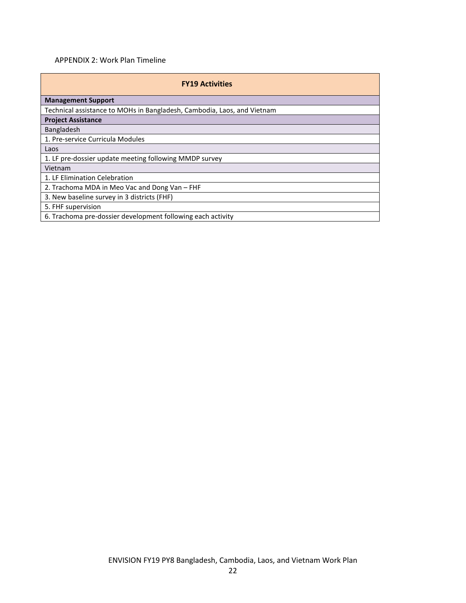# APPENDIX 2: Work Plan Timeline

| <b>FY19 Activities</b>                                                  |
|-------------------------------------------------------------------------|
| <b>Management Support</b>                                               |
| Technical assistance to MOHs in Bangladesh, Cambodia, Laos, and Vietnam |
| <b>Project Assistance</b>                                               |
| Bangladesh                                                              |
| 1. Pre-service Curricula Modules                                        |
| Laos                                                                    |
| 1. LF pre-dossier update meeting following MMDP survey                  |
| Vietnam                                                                 |
| 1. LF Elimination Celebration                                           |
| 2. Trachoma MDA in Meo Vac and Dong Van – FHF                           |
| 3. New baseline survey in 3 districts (FHF)                             |
| 5. FHF supervision                                                      |
| 6. Trachoma pre-dossier development following each activity             |
|                                                                         |